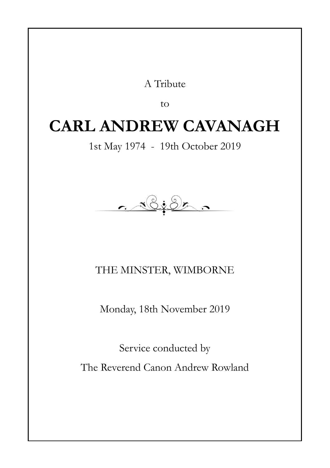#### A Tribute

to

### **CARL ANDREW CAVANAGH**

1st May 1974 - 19th October 2019

<u> 16:05. .</u>

THE MINSTER, WIMBORNE

Monday, 18th November 2019

Service conducted by The Reverend Canon Andrew Rowland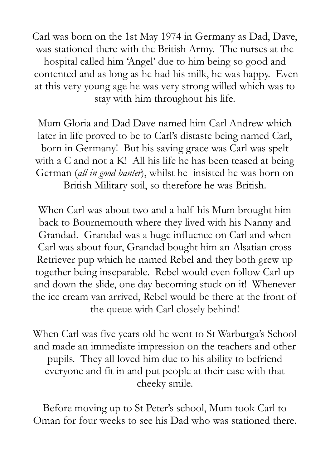Carl was born on the 1st May 1974 in Germany as Dad, Dave, was stationed there with the British Army. The nurses at the hospital called him 'Angel' due to him being so good and contented and as long as he had his milk, he was happy. Even at this very young age he was very strong willed which was to stay with him throughout his life.

Mum Gloria and Dad Dave named him Carl Andrew which later in life proved to be to Carl's distaste being named Carl, born in Germany! But his saving grace was Carl was spelt with a C and not a K! All his life he has been teased at being German (*all in good banter*), whilst he insisted he was born on British Military soil, so therefore he was British.

When Carl was about two and a half his Mum brought him back to Bournemouth where they lived with his Nanny and Grandad. Grandad was a huge influence on Carl and when Carl was about four, Grandad bought him an Alsatian cross Retriever pup which he named Rebel and they both grew up together being inseparable. Rebel would even follow Carl up and down the slide, one day becoming stuck on it! Whenever the ice cream van arrived, Rebel would be there at the front of the queue with Carl closely behind!

When Carl was five years old he went to St Warburga's School and made an immediate impression on the teachers and other pupils. They all loved him due to his ability to befriend everyone and fit in and put people at their ease with that cheeky smile.

Before moving up to St Peter's school, Mum took Carl to Oman for four weeks to see his Dad who was stationed there.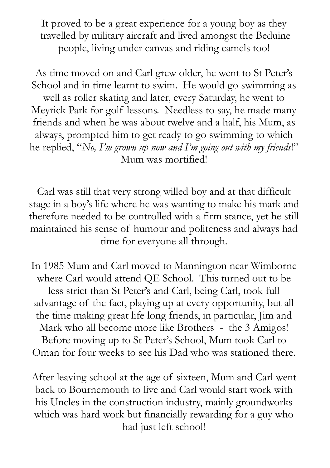It proved to be a great experience for a young boy as they travelled by military aircraft and lived amongst the Beduine people, living under canvas and riding camels too!

As time moved on and Carl grew older, he went to St Peter's School and in time learnt to swim. He would go swimming as well as roller skating and later, every Saturday, he went to Meyrick Park for golf lessons. Needless to say, he made many friends and when he was about twelve and a half, his Mum, as always, prompted him to get ready to go swimming to which he replied, "*No, I'm grown up now and I'm going out with my friends*!" Mum was mortified!

Carl was still that very strong willed boy and at that difficult stage in a boy's life where he was wanting to make his mark and therefore needed to be controlled with a firm stance, yet he still maintained his sense of humour and politeness and always had time for everyone all through.

In 1985 Mum and Carl moved to Mannington near Wimborne where Carl would attend QE School. This turned out to be less strict than St Peter's and Carl, being Carl, took full advantage of the fact, playing up at every opportunity, but all the time making great life long friends, in particular, Jim and Mark who all become more like Brothers - the 3 Amigos! Before moving up to St Peter's School, Mum took Carl to Oman for four weeks to see his Dad who was stationed there.

After leaving school at the age of sixteen, Mum and Carl went back to Bournemouth to live and Carl would start work with his Uncles in the construction industry, mainly groundworks which was hard work but financially rewarding for a guy who had just left school!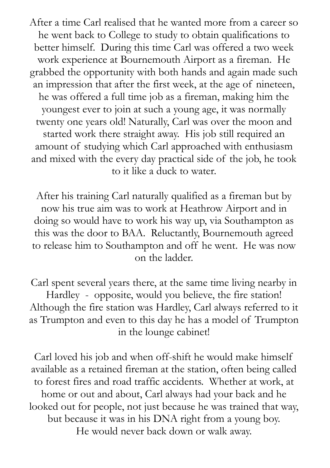After a time Carl realised that he wanted more from a career so he went back to College to study to obtain qualifications to better himself. During this time Carl was offered a two week work experience at Bournemouth Airport as a fireman. He grabbed the opportunity with both hands and again made such an impression that after the first week, at the age of nineteen, he was offered a full time job as a fireman, making him the youngest ever to join at such a young age, it was normally twenty one years old! Naturally, Carl was over the moon and started work there straight away. His job still required an amount of studying which Carl approached with enthusiasm and mixed with the every day practical side of the job, he took to it like a duck to water.

After his training Carl naturally qualified as a fireman but by now his true aim was to work at Heathrow Airport and in doing so would have to work his way up, via Southampton as this was the door to BAA. Reluctantly, Bournemouth agreed to release him to Southampton and off he went. He was now on the ladder.

Carl spent several years there, at the same time living nearby in Hardley - opposite, would you believe, the fire station! Although the fire station was Hardley, Carl always referred to it as Trumpton and even to this day he has a model of Trumpton in the lounge cabinet!

Carl loved his job and when off-shift he would make himself available as a retained fireman at the station, often being called to forest fires and road traffic accidents. Whether at work, at home or out and about, Carl always had your back and he looked out for people, not just because he was trained that way, but because it was in his DNA right from a young boy. He would never back down or walk away.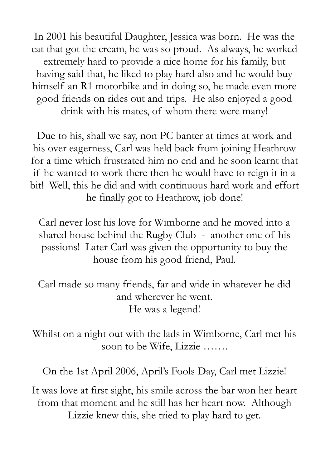In 2001 his beautiful Daughter, Jessica was born. He was the cat that got the cream, he was so proud. As always, he worked extremely hard to provide a nice home for his family, but having said that, he liked to play hard also and he would buy himself an R1 motorbike and in doing so, he made even more good friends on rides out and trips. He also enjoyed a good drink with his mates, of whom there were many!

Due to his, shall we say, non PC banter at times at work and his over eagerness, Carl was held back from joining Heathrow for a time which frustrated him no end and he soon learnt that if he wanted to work there then he would have to reign it in a bit! Well, this he did and with continuous hard work and effort he finally got to Heathrow, job done!

Carl never lost his love for Wimborne and he moved into a shared house behind the Rugby Club - another one of his passions! Later Carl was given the opportunity to buy the house from his good friend, Paul.

Carl made so many friends, far and wide in whatever he did and wherever he went. He was a legend!

Whilst on a night out with the lads in Wimborne, Carl met his soon to be Wife, Lizzie …….

On the 1st April 2006, April's Fools Day, Carl met Lizzie!

It was love at first sight, his smile across the bar won her heart from that moment and he still has her heart now. Although Lizzie knew this, she tried to play hard to get.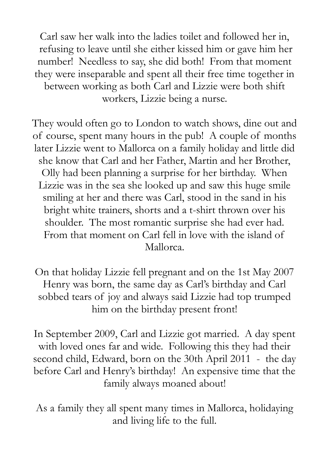Carl saw her walk into the ladies toilet and followed her in, refusing to leave until she either kissed him or gave him her number! Needless to say, she did both! From that moment they were inseparable and spent all their free time together in between working as both Carl and Lizzie were both shift workers, Lizzie being a nurse.

They would often go to London to watch shows, dine out and of course, spent many hours in the pub! A couple of months later Lizzie went to Mallorca on a family holiday and little did she know that Carl and her Father, Martin and her Brother, Olly had been planning a surprise for her birthday. When Lizzie was in the sea she looked up and saw this huge smile smiling at her and there was Carl, stood in the sand in his bright white trainers, shorts and a t-shirt thrown over his shoulder. The most romantic surprise she had ever had. From that moment on Carl fell in love with the island of Mallorca.

On that holiday Lizzie fell pregnant and on the 1st May 2007 Henry was born, the same day as Carl's birthday and Carl sobbed tears of joy and always said Lizzie had top trumped him on the birthday present front!

In September 2009, Carl and Lizzie got married. A day spent with loved ones far and wide. Following this they had their second child, Edward, born on the 30th April 2011 - the day before Carl and Henry's birthday! An expensive time that the family always moaned about!

As a family they all spent many times in Mallorca, holidaying and living life to the full.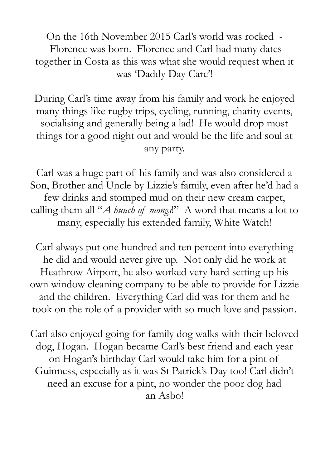On the 16th November 2015 Carl's world was rocked - Florence was born. Florence and Carl had many dates together in Costa as this was what she would request when it was 'Daddy Day Care'!

During Carl's time away from his family and work he enjoyed many things like rugby trips, cycling, running, charity events, socialising and generally being a lad! He would drop most things for a good night out and would be the life and soul at any party.

Carl was a huge part of his family and was also considered a Son, Brother and Uncle by Lizzie's family, even after he'd had a few drinks and stomped mud on their new cream carpet, calling them all "*A bunch of mongs*!" A word that means a lot to many, especially his extended family, White Watch!

Carl always put one hundred and ten percent into everything he did and would never give up. Not only did he work at Heathrow Airport, he also worked very hard setting up his own window cleaning company to be able to provide for Lizzie and the children. Everything Carl did was for them and he took on the role of a provider with so much love and passion.

Carl also enjoyed going for family dog walks with their beloved dog, Hogan. Hogan became Carl's best friend and each year on Hogan's birthday Carl would take him for a pint of Guinness, especially as it was St Patrick's Day too! Carl didn't need an excuse for a pint, no wonder the poor dog had an Asbo!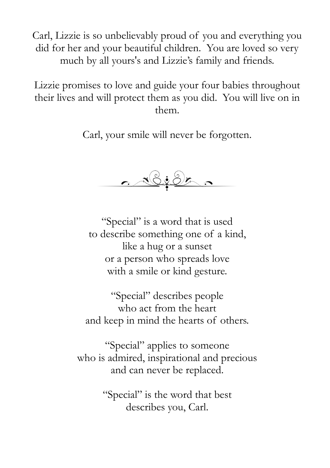Carl, Lizzie is so unbelievably proud of you and everything you did for her and your beautiful children. You are loved so very much by all yours's and Lizzie's family and friends.

Lizzie promises to love and guide your four babies throughout their lives and will protect them as you did. You will live on in them.

Carl, your smile will never be forgotten.



"Special" is a word that is used to describe something one of a kind, like a hug or a sunset or a person who spreads love with a smile or kind gesture.

"Special" describes people who act from the heart and keep in mind the hearts of others.

"Special" applies to someone who is admired, inspirational and precious and can never be replaced.

> "Special" is the word that best describes you, Carl.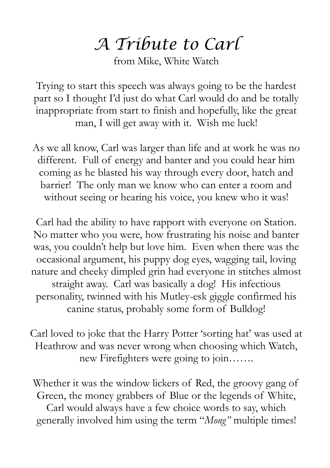## *A Tribute to Carl*

from Mike, White Watch

Trying to start this speech was always going to be the hardest part so I thought I'd just do what Carl would do and be totally inappropriate from start to finish and hopefully, like the great man, I will get away with it. Wish me luck!

As we all know, Carl was larger than life and at work he was no different. Full of energy and banter and you could hear him coming as he blasted his way through every door, hatch and barrier! The only man we know who can enter a room and without seeing or hearing his voice, you knew who it was!

Carl had the ability to have rapport with everyone on Station. No matter who you were, how frustrating his noise and banter was, you couldn't help but love him. Even when there was the occasional argument, his puppy dog eyes, wagging tail, loving nature and cheeky dimpled grin had everyone in stitches almost straight away. Carl was basically a dog! His infectious personality, twinned with his Mutley-esk giggle confirmed his canine status, probably some form of Bulldog!

Carl loved to joke that the Harry Potter 'sorting hat' was used at Heathrow and was never wrong when choosing which Watch, new Firefighters were going to join…….

Whether it was the window lickers of Red, the groovy gang of Green, the money grabbers of Blue or the legends of White, Carl would always have a few choice words to say, which generally involved him using the term "*Mong"* multiple times!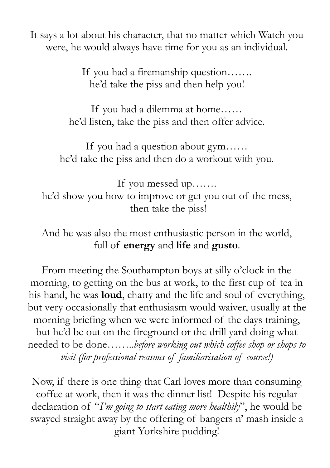It says a lot about his character, that no matter which Watch you were, he would always have time for you as an individual.

> If you had a firemanship question……. he'd take the piss and then help you!

If you had a dilemma at home…… he'd listen, take the piss and then offer advice.

If you had a question about gym…… he'd take the piss and then do a workout with you.

If you messed up……. he'd show you how to improve or get you out of the mess, then take the piss!

And he was also the most enthusiastic person in the world, full of **energy** and **life** and **gusto**.

From meeting the Southampton boys at silly o'clock in the morning, to getting on the bus at work, to the first cup of tea in his hand, he was **loud**, chatty and the life and soul of everything, but very occasionally that enthusiasm would waiver, usually at the morning briefing when we were informed of the days training, but he'd be out on the fireground or the drill yard doing what needed to be done……..*before working out which coffee shop or shops to visit (for professional reasons of familiarisation of course!)*

Now, if there is one thing that Carl loves more than consuming coffee at work, then it was the dinner list! Despite his regular declaration of "*I'm going to start eating more healthily*", he would be swayed straight away by the offering of bangers n' mash inside a giant Yorkshire pudding!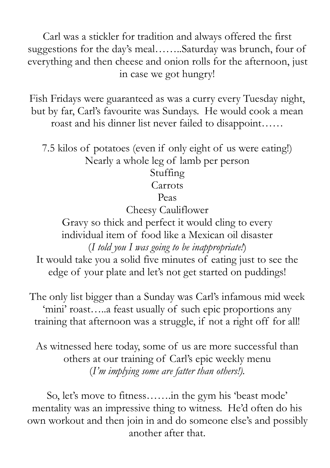Carl was a stickler for tradition and always offered the first suggestions for the day's meal……..Saturday was brunch, four of everything and then cheese and onion rolls for the afternoon, just in case we got hungry!

Fish Fridays were guaranteed as was a curry every Tuesday night, but by far, Carl's favourite was Sundays. He would cook a mean roast and his dinner list never failed to disappoint……

7.5 kilos of potatoes (even if only eight of us were eating!) Nearly a whole leg of lamb per person Stuffing

#### Carrots

Peas

Cheesy Cauliflower

Gravy so thick and perfect it would cling to every individual item of food like a Mexican oil disaster (*I told you I was going to be inappropriate!*)

It would take you a solid five minutes of eating just to see the edge of your plate and let's not get started on puddings!

The only list bigger than a Sunday was Carl's infamous mid week 'mini' roast…..a feast usually of such epic proportions any training that afternoon was a struggle, if not a right off for all!

As witnessed here today, some of us are more successful than others at our training of Carl's epic weekly menu (*I'm implying some are fatter than others!).*

So, let's move to fitness…….in the gym his 'beast mode' mentality was an impressive thing to witness. He'd often do his own workout and then join in and do someone else's and possibly another after that.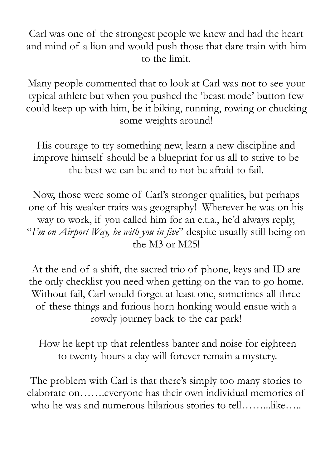Carl was one of the strongest people we knew and had the heart and mind of a lion and would push those that dare train with him to the limit.

Many people commented that to look at Carl was not to see your typical athlete but when you pushed the 'beast mode' button few could keep up with him, be it biking, running, rowing or chucking some weights around!

His courage to try something new, learn a new discipline and improve himself should be a blueprint for us all to strive to be the best we can be and to not be afraid to fail.

Now, those were some of Carl's stronger qualities, but perhaps one of his weaker traits was geography! Wherever he was on his way to work, if you called him for an e.t.a., he'd always reply, "*I'm on Airport Way, be with you in five*" despite usually still being on the M3 or M25!

At the end of a shift, the sacred trio of phone, keys and ID are the only checklist you need when getting on the van to go home. Without fail, Carl would forget at least one, sometimes all three of these things and furious horn honking would ensue with a rowdy journey back to the car park!

How he kept up that relentless banter and noise for eighteen to twenty hours a day will forever remain a mystery.

The problem with Carl is that there's simply too many stories to elaborate on…….everyone has their own individual memories of who he was and numerous hilarious stories to tell……...like…..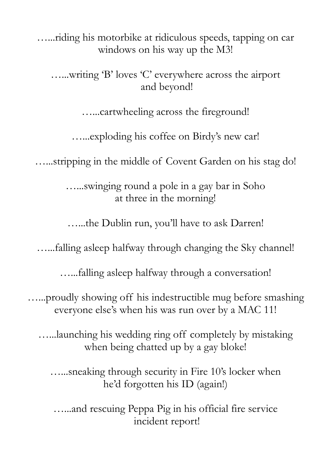…...riding his motorbike at ridiculous speeds, tapping on car windows on his way up the M3!

…...writing 'B' loves 'C' everywhere across the airport and beyond!

…...cartwheeling across the fireground!

…...exploding his coffee on Birdy's new car!

…...stripping in the middle of Covent Garden on his stag do!

…...swinging round a pole in a gay bar in Soho at three in the morning!

…...the Dublin run, you'll have to ask Darren!

…...falling asleep halfway through changing the Sky channel!

…...falling asleep halfway through a conversation!

…...proudly showing off his indestructible mug before smashing everyone else's when his was run over by a MAC 11!

…...launching his wedding ring off completely by mistaking when being chatted up by a gay bloke!

…...sneaking through security in Fire 10's locker when he'd forgotten his ID (again!)

…...and rescuing Peppa Pig in his official fire service incident report!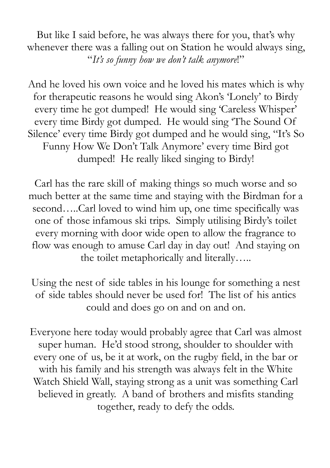But like I said before, he was always there for you, that's why whenever there was a falling out on Station he would always sing, "*It's so funny how we don't talk anymore*!"

And he loved his own voice and he loved his mates which is why for therapeutic reasons he would sing Akon's 'Lonely' to Birdy every time he got dumped! He would sing 'Careless Whisper' every time Birdy got dumped. He would sing 'The Sound Of Silence' every time Birdy got dumped and he would sing, "It's So Funny How We Don't Talk Anymore' every time Bird got dumped! He really liked singing to Birdy!

Carl has the rare skill of making things so much worse and so much better at the same time and staying with the Birdman for a second.....Carl loved to wind him up, one time specifically was one of those infamous ski trips. Simply utilising Birdy's toilet every morning with door wide open to allow the fragrance to flow was enough to amuse Carl day in day out! And staying on the toilet metaphorically and literally…..

Using the nest of side tables in his lounge for something a nest of side tables should never be used for! The list of his antics could and does go on and on and on.

Everyone here today would probably agree that Carl was almost super human. He'd stood strong, shoulder to shoulder with every one of us, be it at work, on the rugby field, in the bar or with his family and his strength was always felt in the White Watch Shield Wall, staying strong as a unit was something Carl believed in greatly. A band of brothers and misfits standing together, ready to defy the odds.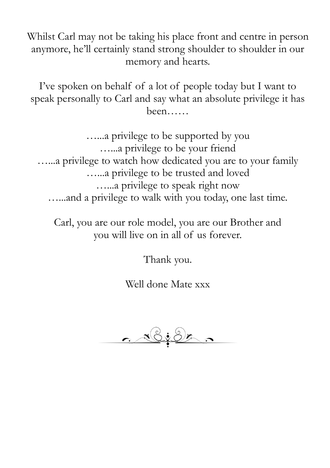Whilst Carl may not be taking his place front and centre in person anymore, he'll certainly stand strong shoulder to shoulder in our memory and hearts.

I've spoken on behalf of a lot of people today but I want to speak personally to Carl and say what an absolute privilege it has been……

…...a privilege to be supported by you …...a privilege to be your friend …...a privilege to watch how dedicated you are to your family …...a privilege to be trusted and loved …...a privilege to speak right now …...and a privilege to walk with you today, one last time.

Carl, you are our role model, you are our Brother and you will live on in all of us forever.

Thank you.

Well done Mate xxx

 $\frac{1}{2}$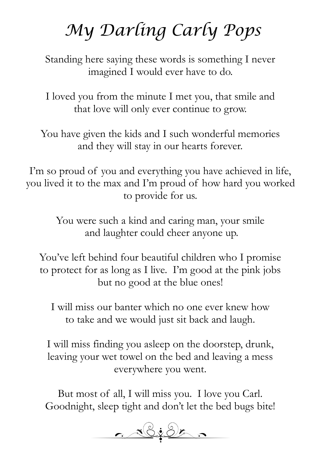# *My Darling Carly Pops*

Standing here saying these words is something I never imagined I would ever have to do.

I loved you from the minute I met you, that smile and that love will only ever continue to grow.

You have given the kids and I such wonderful memories and they will stay in our hearts forever.

I'm so proud of you and everything you have achieved in life, you lived it to the max and I'm proud of how hard you worked to provide for us.

> You were such a kind and caring man, your smile and laughter could cheer anyone up.

You've left behind four beautiful children who I promise to protect for as long as I live. I'm good at the pink jobs but no good at the blue ones!

I will miss our banter which no one ever knew how to take and we would just sit back and laugh.

I will miss finding you asleep on the doorstep, drunk, leaving your wet towel on the bed and leaving a mess everywhere you went.

But most of all, I will miss you. I love you Carl. Goodnight, sleep tight and don't let the bed bugs bite!

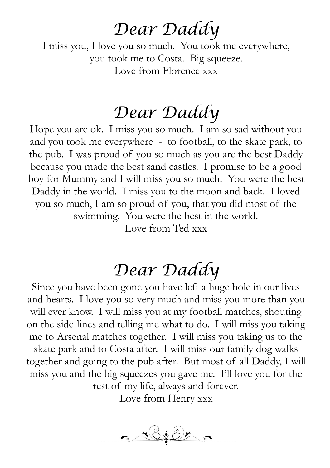### *Dear Daddy*

I miss you, I love you so much. You took me everywhere, you took me to Costa. Big squeeze. Love from Florence xxx

## *Dear Daddy*

Hope you are ok. I miss you so much. I am so sad without you and you took me everywhere - to football, to the skate park, to the pub. I was proud of you so much as you are the best Daddy because you made the best sand castles. I promise to be a good boy for Mummy and I will miss you so much. You were the best Daddy in the world. I miss you to the moon and back. I loved you so much, I am so proud of you, that you did most of the swimming. You were the best in the world. Love from Ted xxx

## *Dear Daddy*

Since you have been gone you have left a huge hole in our lives and hearts. I love you so very much and miss you more than you will ever know. I will miss you at my football matches, shouting on the side-lines and telling me what to do. I will miss you taking me to Arsenal matches together. I will miss you taking us to the skate park and to Costa after. I will miss our family dog walks together and going to the pub after. But most of all Daddy, I will miss you and the big squeezes you gave me. I'll love you for the rest of my life, always and forever.

Love from Henry xxx